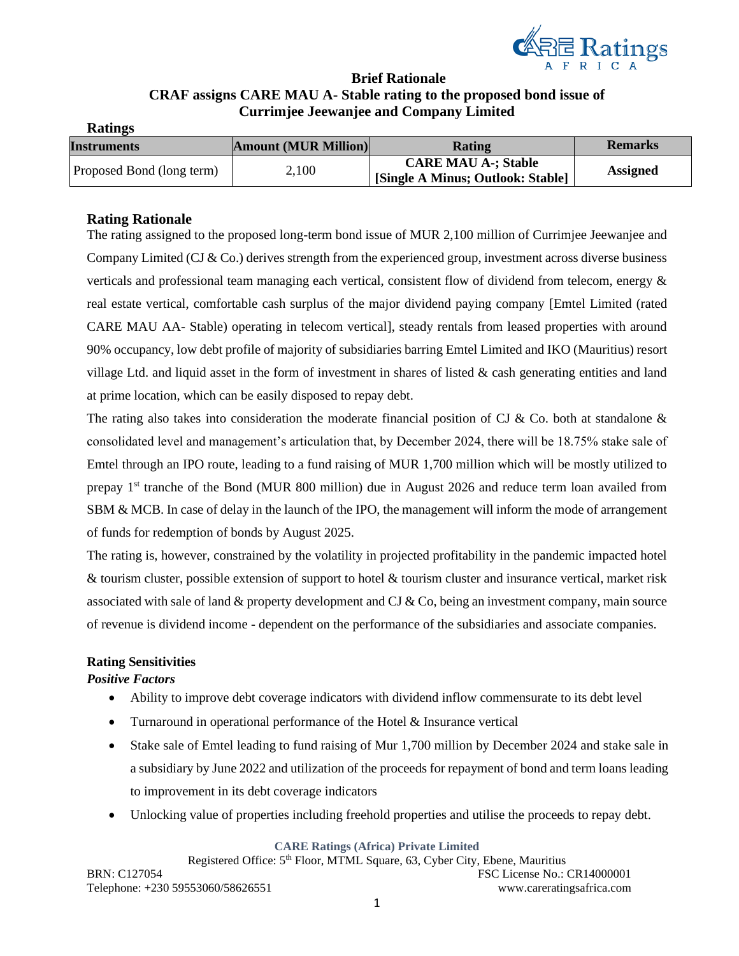

# **Brief Rationale CRAF assigns CARE MAU A- Stable rating to the proposed bond issue of Currimjee Jeewanjee and Company Limited**

| <b>Ratings</b>            |                             |                                   |                 |
|---------------------------|-----------------------------|-----------------------------------|-----------------|
| <b>Instruments</b>        | <b>Amount (MUR Million)</b> | Rating                            | <b>Remarks</b>  |
| Proposed Bond (long term) | 2,100                       | <b>CARE MAU A-; Stable</b>        | <b>Assigned</b> |
|                           |                             | [Single A Minus; Outlook: Stable] |                 |

# **Rating Rationale**

The rating assigned to the proposed long-term bond issue of MUR 2,100 million of Currimjee Jeewanjee and Company Limited (CJ  $&$  Co.) derives strength from the experienced group, investment across diverse business verticals and professional team managing each vertical, consistent flow of dividend from telecom, energy & real estate vertical, comfortable cash surplus of the major dividend paying company [Emtel Limited (rated CARE MAU AA- Stable) operating in telecom vertical], steady rentals from leased properties with around 90% occupancy, low debt profile of majority of subsidiaries barring Emtel Limited and IKO (Mauritius) resort village Ltd. and liquid asset in the form of investment in shares of listed & cash generating entities and land at prime location, which can be easily disposed to repay debt.

The rating also takes into consideration the moderate financial position of CJ & Co. both at standalone  $\&$ consolidated level and management's articulation that, by December 2024, there will be 18.75% stake sale of Emtel through an IPO route, leading to a fund raising of MUR 1,700 million which will be mostly utilized to prepay 1<sup>st</sup> tranche of the Bond (MUR 800 million) due in August 2026 and reduce term loan availed from SBM & MCB. In case of delay in the launch of the IPO, the management will inform the mode of arrangement of funds for redemption of bonds by August 2025.

The rating is, however, constrained by the volatility in projected profitability in the pandemic impacted hotel & tourism cluster, possible extension of support to hotel & tourism cluster and insurance vertical, market risk associated with sale of land  $\&$  property development and CJ  $\&$  Co, being an investment company, main source of revenue is dividend income - dependent on the performance of the subsidiaries and associate companies.

## **Rating Sensitivities**

## *Positive Factors*

- Ability to improve debt coverage indicators with dividend inflow commensurate to its debt level
- Turnaround in operational performance of the Hotel & Insurance vertical
- Stake sale of Emtel leading to fund raising of Mur 1,700 million by December 2024 and stake sale in a subsidiary by June 2022 and utilization of the proceeds for repayment of bond and term loans leading to improvement in its debt coverage indicators
- Unlocking value of properties including freehold properties and utilise the proceeds to repay debt.

#### **CARE Ratings (Africa) Private Limited**

Registered Office: 5<sup>th</sup> Floor, MTML Square, 63, Cyber City, Ebene, Mauritius BRN: C127054 FSC License No.: CR14000001 Telephone: +230 59553060/58626551 www.careratingsafrica.com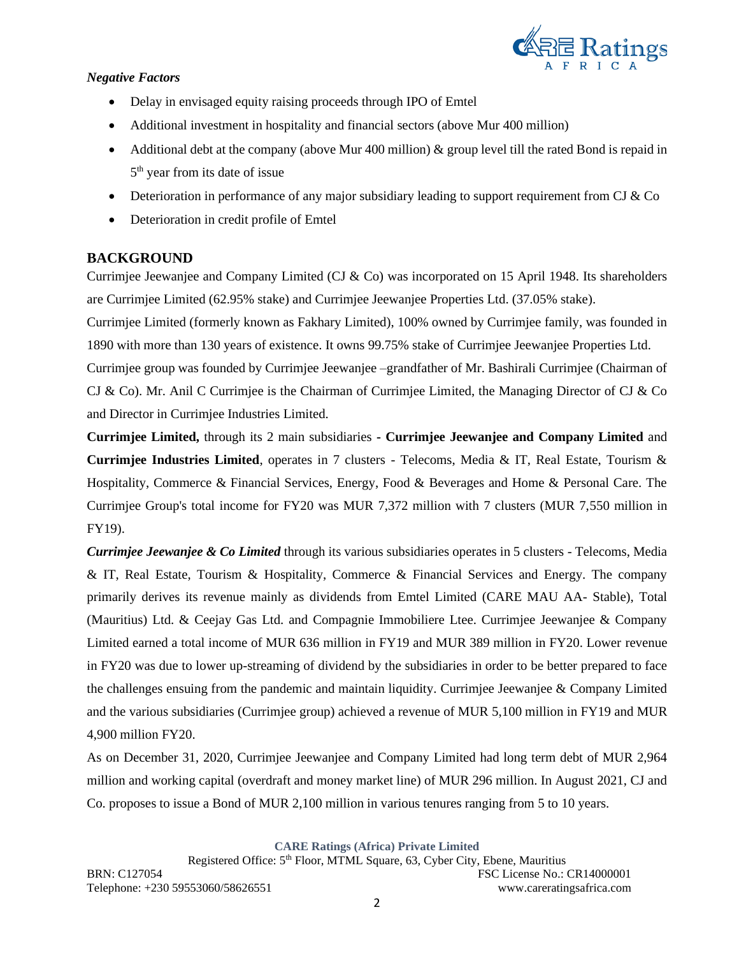

# *Negative Factors*

- Delay in envisaged equity raising proceeds through IPO of Emtel
- Additional investment in hospitality and financial sectors (above Mur 400 million)
- Additional debt at the company (above Mur 400 million)  $\&$  group level till the rated Bond is repaid in 5<sup>th</sup> year from its date of issue
- Deterioration in performance of any major subsidiary leading to support requirement from CJ  $&$  Co
- Deterioration in credit profile of Emtel

# **BACKGROUND**

Currimjee Jeewanjee and Company Limited (CJ & Co) was incorporated on 15 April 1948. Its shareholders are Currimjee Limited (62.95% stake) and Currimjee Jeewanjee Properties Ltd. (37.05% stake).

Currimjee Limited (formerly known as Fakhary Limited), 100% owned by Currimjee family, was founded in 1890 with more than 130 years of existence. It owns 99.75% stake of Currimjee Jeewanjee Properties Ltd.

Currimjee group was founded by Currimjee Jeewanjee –grandfather of Mr. Bashirali Currimjee (Chairman of CJ & Co). Mr. Anil C Currimjee is the Chairman of Currimjee Limited, the Managing Director of CJ & Co and Director in Currimjee Industries Limited.

**Currimjee Limited,** through its 2 main subsidiaries **- Currimjee Jeewanjee and Company Limited** and **Currimjee Industries Limited**, operates in 7 clusters - Telecoms, Media & IT, Real Estate, Tourism & Hospitality, Commerce & Financial Services, Energy, Food & Beverages and Home & Personal Care. The Currimjee Group's total income for FY20 was MUR 7,372 million with 7 clusters (MUR 7,550 million in FY19).

*Currimjee Jeewanjee & Co Limited* through its various subsidiaries operates in 5 clusters - Telecoms, Media & IT, Real Estate, Tourism & Hospitality, Commerce & Financial Services and Energy. The company primarily derives its revenue mainly as dividends from Emtel Limited (CARE MAU AA- Stable), Total (Mauritius) Ltd. & Ceejay Gas Ltd. and Compagnie Immobiliere Ltee. Currimjee Jeewanjee & Company Limited earned a total income of MUR 636 million in FY19 and MUR 389 million in FY20. Lower revenue in FY20 was due to lower up-streaming of dividend by the subsidiaries in order to be better prepared to face the challenges ensuing from the pandemic and maintain liquidity. Currimjee Jeewanjee & Company Limited and the various subsidiaries (Currimjee group) achieved a revenue of MUR 5,100 million in FY19 and MUR 4,900 million FY20.

As on December 31, 2020, Currimjee Jeewanjee and Company Limited had long term debt of MUR 2,964 million and working capital (overdraft and money market line) of MUR 296 million. In August 2021, CJ and Co. proposes to issue a Bond of MUR 2,100 million in various tenures ranging from 5 to 10 years.

**CARE Ratings (Africa) Private Limited**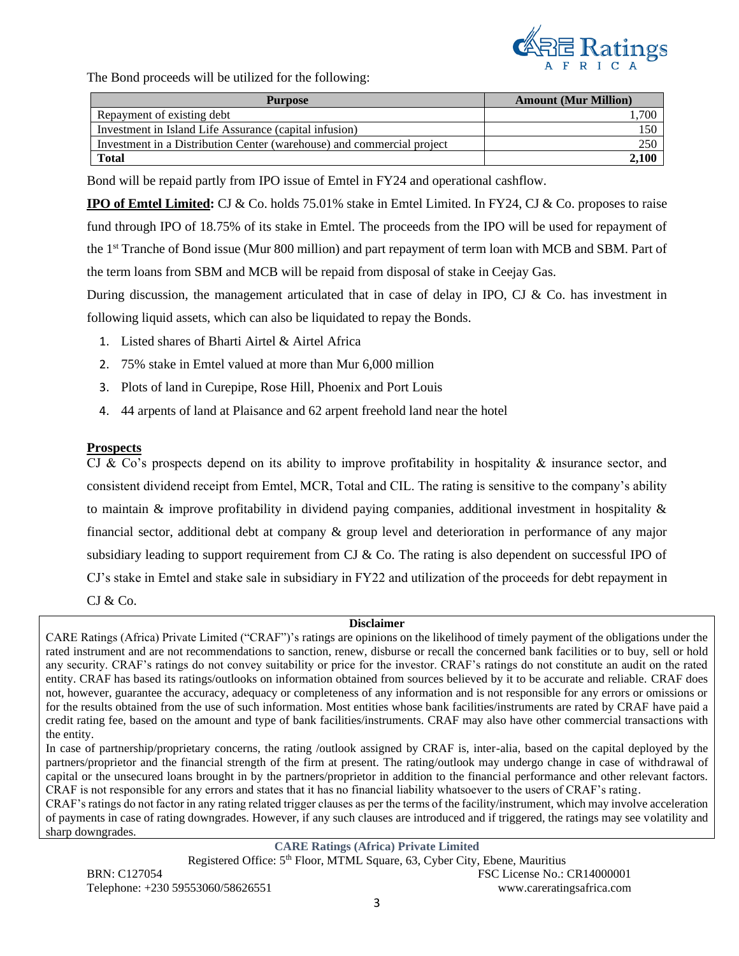

The Bond proceeds will be utilized for the following:

| <b>Purpose</b>                                                         | <b>Amount (Mur Million)</b> |
|------------------------------------------------------------------------|-----------------------------|
| Repayment of existing debt                                             | .700                        |
| Investment in Island Life Assurance (capital infusion)                 |                             |
| Investment in a Distribution Center (warehouse) and commercial project | 250                         |
| <b>Total</b>                                                           | 2,100                       |

Bond will be repaid partly from IPO issue of Emtel in FY24 and operational cashflow.

**IPO of Emtel Limited:** CJ & Co. holds 75.01% stake in Emtel Limited. In FY24, CJ & Co. proposes to raise fund through IPO of 18.75% of its stake in Emtel. The proceeds from the IPO will be used for repayment of the 1st Tranche of Bond issue (Mur 800 million) and part repayment of term loan with MCB and SBM. Part of the term loans from SBM and MCB will be repaid from disposal of stake in Ceejay Gas.

During discussion, the management articulated that in case of delay in IPO, CJ & Co. has investment in following liquid assets, which can also be liquidated to repay the Bonds.

- 1. Listed shares of Bharti Airtel & Airtel Africa
- 2. 75% stake in Emtel valued at more than Mur 6,000 million
- 3. Plots of land in Curepipe, Rose Hill, Phoenix and Port Louis
- 4. 44 arpents of land at Plaisance and 62 arpent freehold land near the hotel

## **Prospects**

CJ & Co's prospects depend on its ability to improve profitability in hospitality & insurance sector, and consistent dividend receipt from Emtel, MCR, Total and CIL. The rating is sensitive to the company's ability to maintain & improve profitability in dividend paying companies, additional investment in hospitality & financial sector, additional debt at company & group level and deterioration in performance of any major subsidiary leading to support requirement from CJ & Co. The rating is also dependent on successful IPO of CJ's stake in Emtel and stake sale in subsidiary in FY22 and utilization of the proceeds for debt repayment in  $CI & Co.$ 

#### **Disclaimer**

CARE Ratings (Africa) Private Limited ("CRAF")'s ratings are opinions on the likelihood of timely payment of the obligations under the rated instrument and are not recommendations to sanction, renew, disburse or recall the concerned bank facilities or to buy, sell or hold any security. CRAF's ratings do not convey suitability or price for the investor. CRAF's ratings do not constitute an audit on the rated entity. CRAF has based its ratings/outlooks on information obtained from sources believed by it to be accurate and reliable. CRAF does not, however, guarantee the accuracy, adequacy or completeness of any information and is not responsible for any errors or omissions or for the results obtained from the use of such information. Most entities whose bank facilities/instruments are rated by CRAF have paid a credit rating fee, based on the amount and type of bank facilities/instruments. CRAF may also have other commercial transactions with the entity.

In case of partnership/proprietary concerns, the rating /outlook assigned by CRAF is, inter-alia, based on the capital deployed by the partners/proprietor and the financial strength of the firm at present. The rating/outlook may undergo change in case of withdrawal of capital or the unsecured loans brought in by the partners/proprietor in addition to the financial performance and other relevant factors. CRAF is not responsible for any errors and states that it has no financial liability whatsoever to the users of CRAF's rating.

CRAF's ratings do not factor in any rating related trigger clauses as per the terms of the facility/instrument, which may involve acceleration of payments in case of rating downgrades. However, if any such clauses are introduced and if triggered, the ratings may see volatility and sharp downgrades.

## **CARE Ratings (Africa) Private Limited**

Registered Office: 5<sup>th</sup> Floor, MTML Square, 63, Cyber City, Ebene, Mauritius